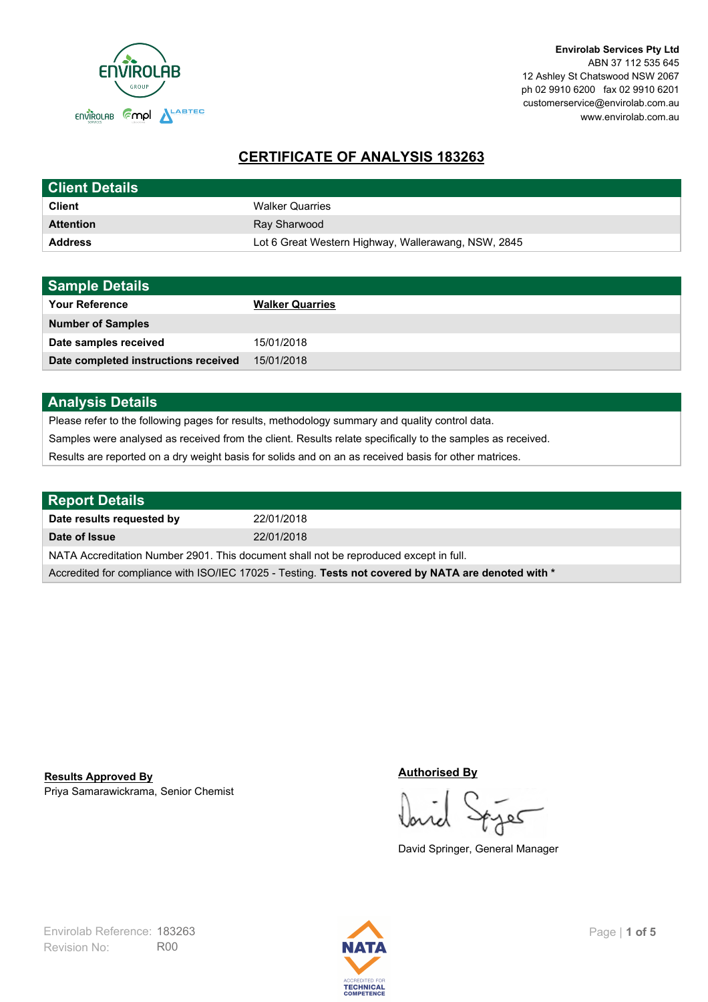

# **CERTIFICATE OF ANALYSIS 183263**

| <b>Client Details</b> |                                                     |
|-----------------------|-----------------------------------------------------|
| <b>Client</b>         | <b>Walker Quarries</b>                              |
| <b>Attention</b>      | Ray Sharwood                                        |
| <b>Address</b>        | Lot 6 Great Western Highway, Wallerawang, NSW, 2845 |

| <b>Sample Details</b>                |                        |
|--------------------------------------|------------------------|
| <b>Your Reference</b>                | <b>Walker Quarries</b> |
| <b>Number of Samples</b>             |                        |
| Date samples received                | 15/01/2018             |
| Date completed instructions received | 15/01/2018             |

## **Analysis Details**

Please refer to the following pages for results, methodology summary and quality control data.

Samples were analysed as received from the client. Results relate specifically to the samples as received.

Results are reported on a dry weight basis for solids and on an as received basis for other matrices.

| <b>Report Details</b>                                                                                |            |  |
|------------------------------------------------------------------------------------------------------|------------|--|
| Date results requested by                                                                            | 22/01/2018 |  |
| Date of Issue                                                                                        | 22/01/2018 |  |
| NATA Accreditation Number 2901. This document shall not be reproduced except in full.                |            |  |
| Accredited for compliance with ISO/IEC 17025 - Testing. Tests not covered by NATA are denoted with * |            |  |

Priya Samarawickrama, Senior Chemist **Results Approved By**

#### **Authorised By**

کھ

David Springer, General Manager

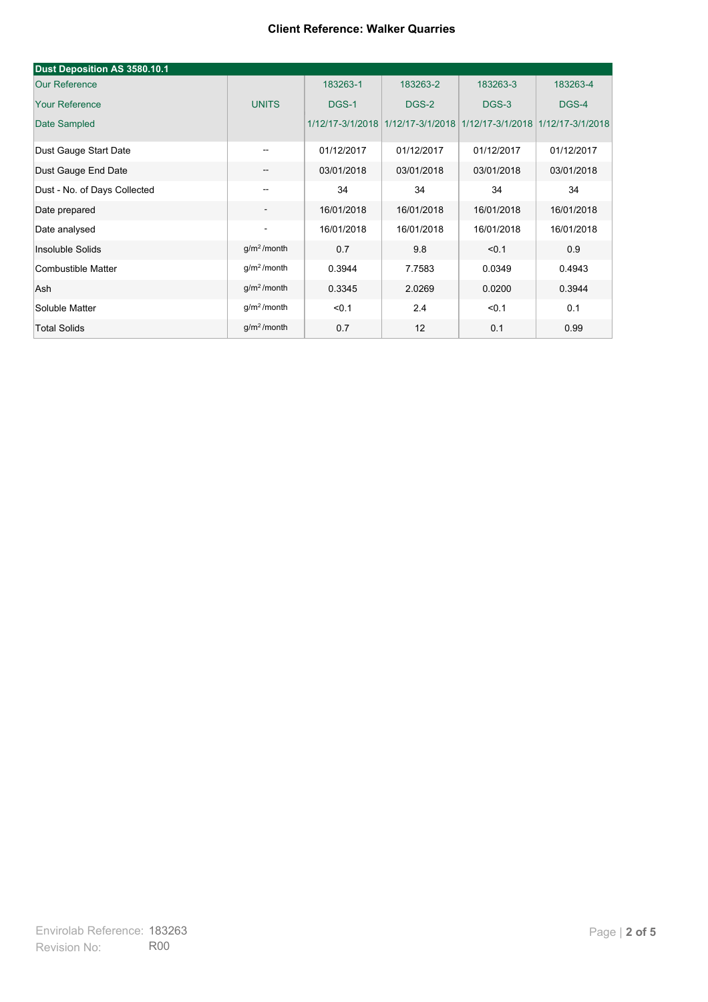#### **Client Reference: Walker Quarries**

| Dust Deposition AS 3580.10.1 |                          |            |                                                                     |            |            |
|------------------------------|--------------------------|------------|---------------------------------------------------------------------|------------|------------|
| <b>Our Reference</b>         |                          | 183263-1   | 183263-2                                                            | 183263-3   | 183263-4   |
| <b>Your Reference</b>        | <b>UNITS</b>             | DGS-1      | DGS-2                                                               | DGS-3      | DGS-4      |
| Date Sampled                 |                          |            | 1/12/17-3/1/2018 1/12/17-3/1/2018 1/12/17-3/1/2018 1/12/17-3/1/2018 |            |            |
| Dust Gauge Start Date        |                          | 01/12/2017 | 01/12/2017                                                          | 01/12/2017 | 01/12/2017 |
| Dust Gauge End Date          | $-$                      | 03/01/2018 | 03/01/2018                                                          | 03/01/2018 | 03/01/2018 |
| Dust - No. of Days Collected |                          | 34         | 34                                                                  | 34         | 34         |
| Date prepared                | $\overline{\phantom{a}}$ | 16/01/2018 | 16/01/2018                                                          | 16/01/2018 | 16/01/2018 |
| Date analysed                | $\overline{\phantom{a}}$ | 16/01/2018 | 16/01/2018                                                          | 16/01/2018 | 16/01/2018 |
| Insoluble Solids             | $g/m2$ /month            | 0.7        | 9.8                                                                 | < 0.1      | 0.9        |
| Combustible Matter           | $g/m2$ /month            | 0.3944     | 7.7583                                                              | 0.0349     | 0.4943     |
| Ash                          | g/m <sup>2</sup> /month  | 0.3345     | 2.0269                                                              | 0.0200     | 0.3944     |
| Soluble Matter               | $g/m2$ /month            | < 0.1      | 2.4                                                                 | < 0.1      | 0.1        |
| <b>Total Solids</b>          | $q/m2$ /month            | 0.7        | 12                                                                  | 0.1        | 0.99       |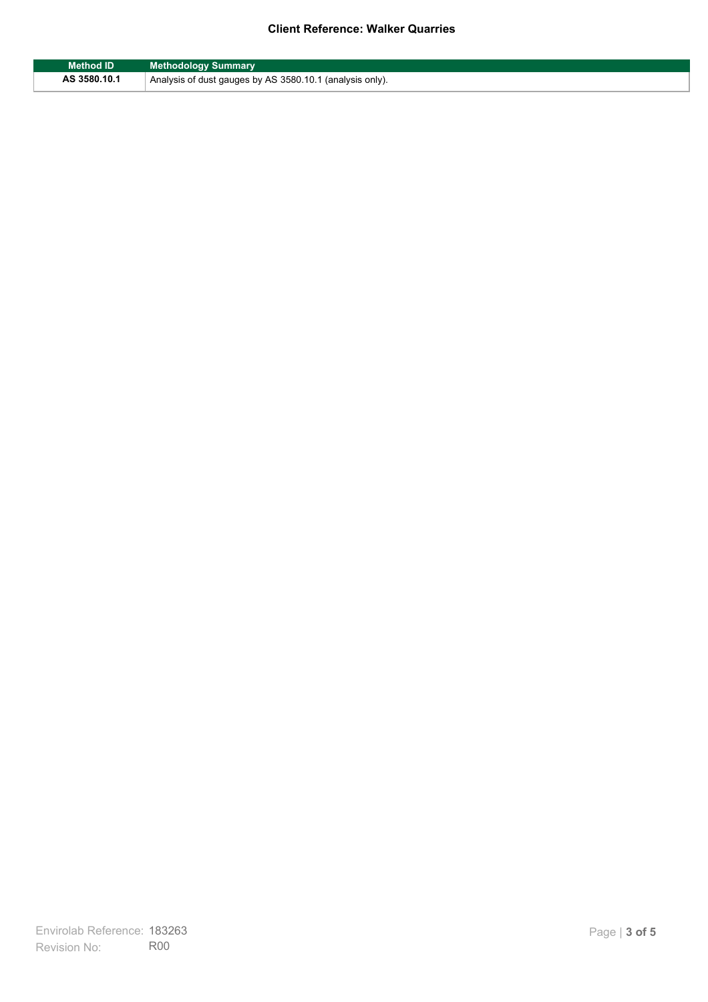### **Client Reference: Walker Quarries**

| <b>Method ID</b> | <b>Methodology Summary</b>                               |
|------------------|----------------------------------------------------------|
| AS 3580.10.1     | Analysis of dust gauges by AS 3580.10.1 (analysis only). |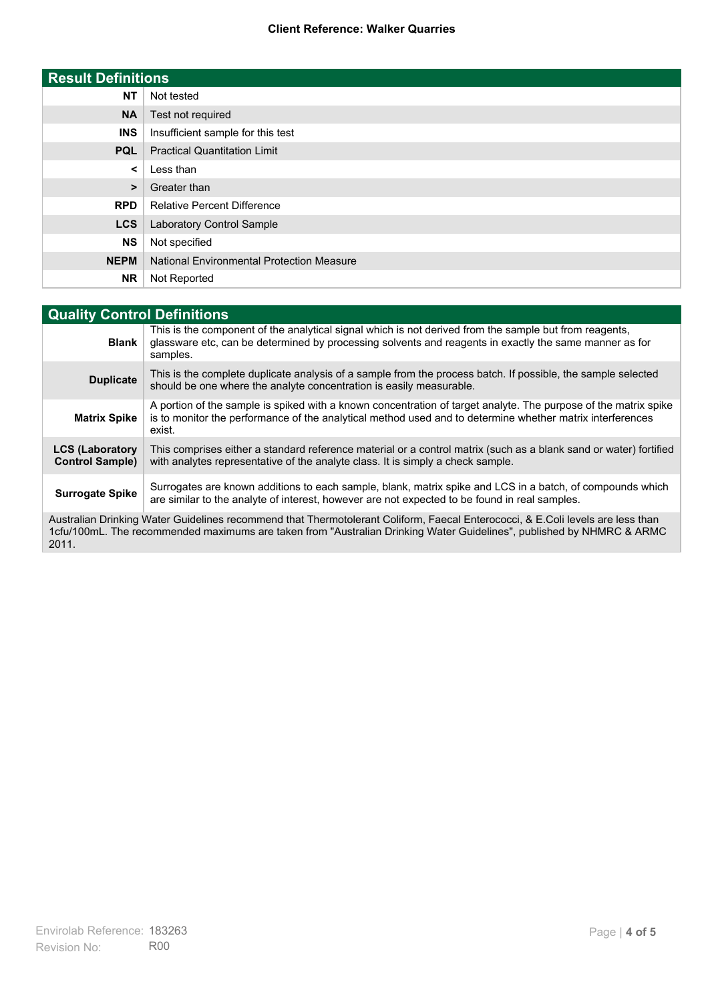#### **Client Reference: Walker Quarries**

| <b>Result Definitions</b> |                                                  |
|---------------------------|--------------------------------------------------|
| <b>NT</b>                 | Not tested                                       |
| <b>NA</b>                 | Test not required                                |
| <b>INS</b>                | Insufficient sample for this test                |
| <b>PQL</b>                | <b>Practical Quantitation Limit</b>              |
| $\prec$                   | Less than                                        |
| $\geq$                    | Greater than                                     |
| <b>RPD</b>                | <b>Relative Percent Difference</b>               |
| <b>LCS</b>                | Laboratory Control Sample                        |
| <b>NS</b>                 | Not specified                                    |
| <b>NEPM</b>               | <b>National Environmental Protection Measure</b> |
| <b>NR</b>                 | Not Reported                                     |

| <b>Quality Control Definitions</b>                                                                                                                                                                                                                      |                                                                                                                                                                                                                                        |  |
|---------------------------------------------------------------------------------------------------------------------------------------------------------------------------------------------------------------------------------------------------------|----------------------------------------------------------------------------------------------------------------------------------------------------------------------------------------------------------------------------------------|--|
| <b>Blank</b>                                                                                                                                                                                                                                            | This is the component of the analytical signal which is not derived from the sample but from reagents.<br>glassware etc, can be determined by processing solvents and reagents in exactly the same manner as for<br>samples.           |  |
| <b>Duplicate</b>                                                                                                                                                                                                                                        | This is the complete duplicate analysis of a sample from the process batch. If possible, the sample selected<br>should be one where the analyte concentration is easily measurable.                                                    |  |
| <b>Matrix Spike</b>                                                                                                                                                                                                                                     | A portion of the sample is spiked with a known concentration of target analyte. The purpose of the matrix spike<br>is to monitor the performance of the analytical method used and to determine whether matrix interferences<br>exist. |  |
| <b>LCS (Laboratory</b><br><b>Control Sample)</b>                                                                                                                                                                                                        | This comprises either a standard reference material or a control matrix (such as a blank sand or water) fortified<br>with analytes representative of the analyte class. It is simply a check sample.                                   |  |
| <b>Surrogate Spike</b>                                                                                                                                                                                                                                  | Surrogates are known additions to each sample, blank, matrix spike and LCS in a batch, of compounds which<br>are similar to the analyte of interest, however are not expected to be found in real samples.                             |  |
| Australian Drinking Water Guidelines recommend that Thermotolerant Coliform, Faecal Enterococci, & E.Coli levels are less than<br>1cfu/100mL. The recommended maximums are taken from "Australian Drinking Water Guidelines", published by NHMRC & ARMC |                                                                                                                                                                                                                                        |  |

2011.